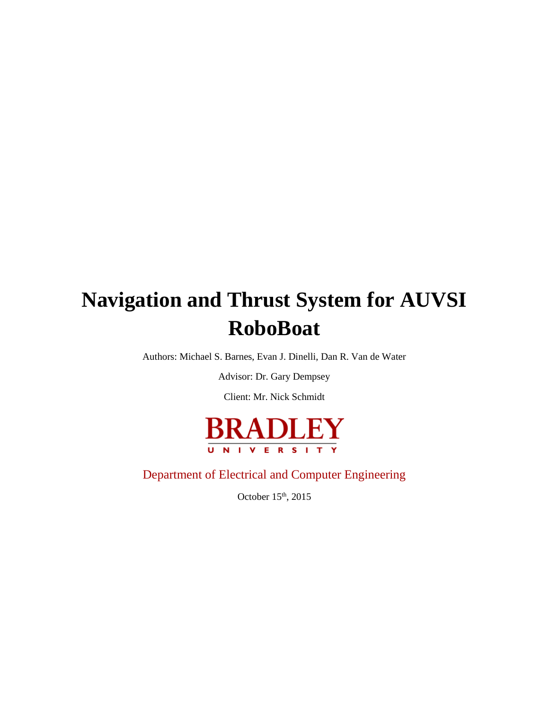# **Navigation and Thrust System for AUVSI RoboBoat**

Authors: Michael S. Barnes, Evan J. Dinelli, Dan R. Van de Water

Advisor: Dr. Gary Dempsey

Client: Mr. Nick Schmidt



Department of Electrical and Computer Engineering

October 15<sup>th</sup>, 2015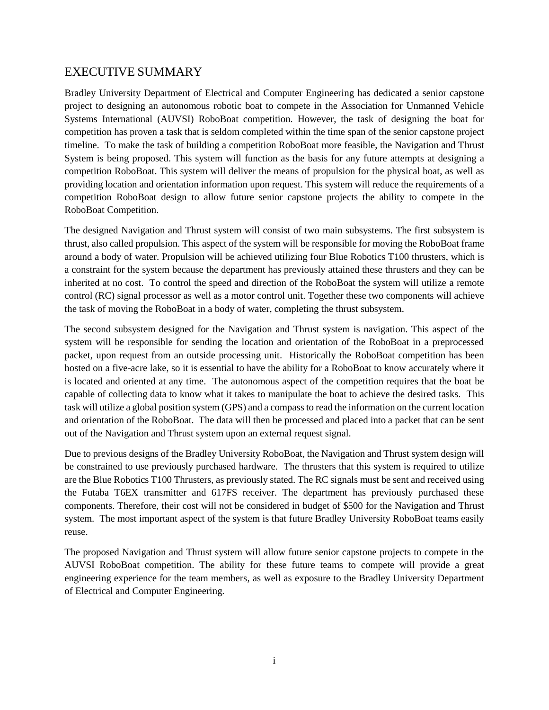# EXECUTIVE SUMMARY

Bradley University Department of Electrical and Computer Engineering has dedicated a senior capstone project to designing an autonomous robotic boat to compete in the Association for Unmanned Vehicle Systems International (AUVSI) RoboBoat competition. However, the task of designing the boat for competition has proven a task that is seldom completed within the time span of the senior capstone project timeline. To make the task of building a competition RoboBoat more feasible, the Navigation and Thrust System is being proposed. This system will function as the basis for any future attempts at designing a competition RoboBoat. This system will deliver the means of propulsion for the physical boat, as well as providing location and orientation information upon request. This system will reduce the requirements of a competition RoboBoat design to allow future senior capstone projects the ability to compete in the RoboBoat Competition.

The designed Navigation and Thrust system will consist of two main subsystems. The first subsystem is thrust, also called propulsion. This aspect of the system will be responsible for moving the RoboBoat frame around a body of water. Propulsion will be achieved utilizing four Blue Robotics T100 thrusters, which is a constraint for the system because the department has previously attained these thrusters and they can be inherited at no cost. To control the speed and direction of the RoboBoat the system will utilize a remote control (RC) signal processor as well as a motor control unit. Together these two components will achieve the task of moving the RoboBoat in a body of water, completing the thrust subsystem.

The second subsystem designed for the Navigation and Thrust system is navigation. This aspect of the system will be responsible for sending the location and orientation of the RoboBoat in a preprocessed packet, upon request from an outside processing unit. Historically the RoboBoat competition has been hosted on a five-acre lake, so it is essential to have the ability for a RoboBoat to know accurately where it is located and oriented at any time. The autonomous aspect of the competition requires that the boat be capable of collecting data to know what it takes to manipulate the boat to achieve the desired tasks. This task will utilize a global position system (GPS) and a compass to read the information on the current location and orientation of the RoboBoat. The data will then be processed and placed into a packet that can be sent out of the Navigation and Thrust system upon an external request signal.

Due to previous designs of the Bradley University RoboBoat, the Navigation and Thrust system design will be constrained to use previously purchased hardware. The thrusters that this system is required to utilize are the Blue Robotics T100 Thrusters, as previously stated. The RC signals must be sent and received using the Futaba T6EX transmitter and 617FS receiver. The department has previously purchased these components. Therefore, their cost will not be considered in budget of \$500 for the Navigation and Thrust system. The most important aspect of the system is that future Bradley University RoboBoat teams easily reuse.

The proposed Navigation and Thrust system will allow future senior capstone projects to compete in the AUVSI RoboBoat competition. The ability for these future teams to compete will provide a great engineering experience for the team members, as well as exposure to the Bradley University Department of Electrical and Computer Engineering.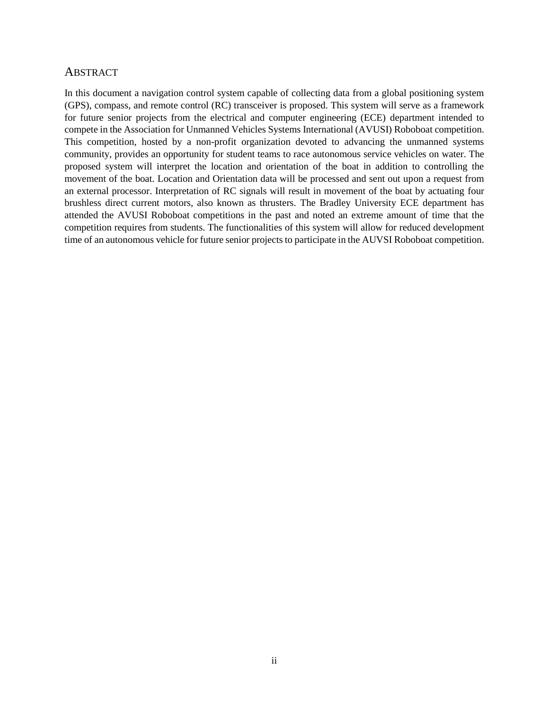#### **ABSTRACT**

In this document a navigation control system capable of collecting data from a global positioning system (GPS), compass, and remote control (RC) transceiver is proposed. This system will serve as a framework for future senior projects from the electrical and computer engineering (ECE) department intended to compete in the Association for Unmanned Vehicles Systems International (AVUSI) Roboboat competition. This competition, hosted by a non-profit organization devoted to advancing the unmanned systems community, provides an opportunity for student teams to race autonomous service vehicles on water. The proposed system will interpret the location and orientation of the boat in addition to controlling the movement of the boat. Location and Orientation data will be processed and sent out upon a request from an external processor. Interpretation of RC signals will result in movement of the boat by actuating four brushless direct current motors, also known as thrusters. The Bradley University ECE department has attended the AVUSI Roboboat competitions in the past and noted an extreme amount of time that the competition requires from students. The functionalities of this system will allow for reduced development time of an autonomous vehicle for future senior projects to participate in the AUVSI Roboboat competition.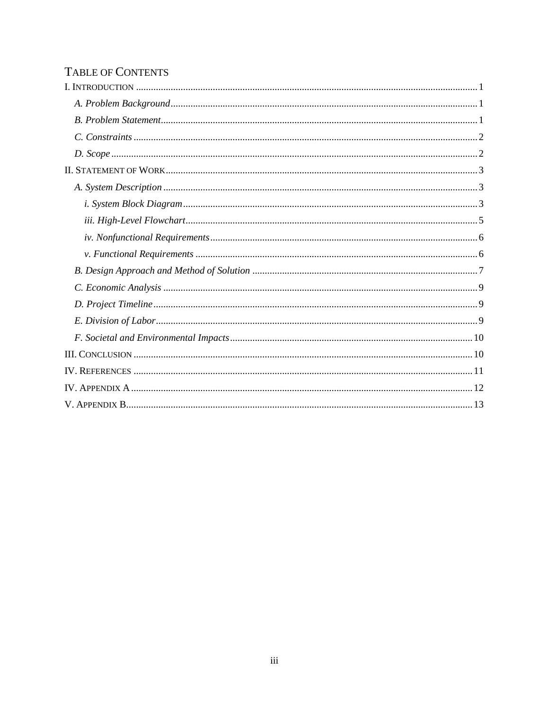# TABLE OF CONTENTS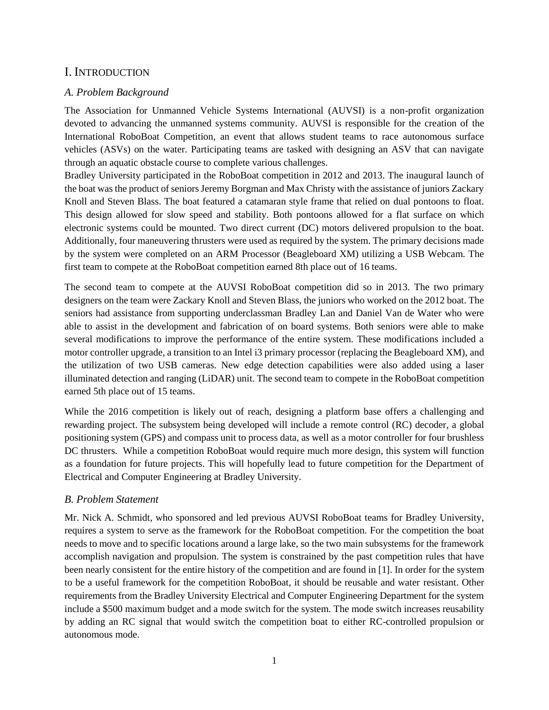# <span id="page-4-0"></span>I. INTRODUCTION

## <span id="page-4-1"></span>*A. Problem Background*

The Association for Unmanned Vehicle Systems International (AUVSI) is a non-profit organization devoted to advancing the unmanned systems community. AUVSI is responsible for the creation of the International RoboBoat Competition, an event that allows student teams to race autonomous surface vehicles (ASVs) on the water. Participating teams are tasked with designing an ASV that can navigate through an aquatic obstacle course to complete various challenges.

Bradley University participated in the RoboBoat competition in 2012 and 2013. The inaugural launch of the boat was the product of seniors Jeremy Borgman and Max Christy with the assistance of juniors Zackary Knoll and Steven Blass. The boat featured a catamaran style frame that relied on dual pontoons to float. This design allowed for slow speed and stability. Both pontoons allowed for a flat surface on which electronic systems could be mounted. Two direct current (DC) motors delivered propulsion to the boat. Additionally, four maneuvering thrusters were used as required by the system. The primary decisions made by the system were completed on an ARM Processor (Beagleboard XM) utilizing a USB Webcam. The first team to compete at the RoboBoat competition earned 8th place out of 16 teams.

The second team to compete at the AUVSI RoboBoat competition did so in 2013. The two primary designers on the team were Zackary Knoll and Steven Blass, the juniors who worked on the 2012 boat. The seniors had assistance from supporting underclassman Bradley Lan and Daniel Van de Water who were able to assist in the development and fabrication of on board systems. Both seniors were able to make several modifications to improve the performance of the entire system. These modifications included a motor controller upgrade, a transition to an Intel i3 primary processor (replacing the Beagleboard XM), and the utilization of two USB cameras. New edge detection capabilities were also added using a laser illuminated detection and ranging (LiDAR) unit. The second team to compete in the RoboBoat competition earned 5th place out of 15 teams.

While the 2016 competition is likely out of reach, designing a platform base offers a challenging and rewarding project. The subsystem being developed will include a remote control (RC) decoder, a global positioning system (GPS) and compass unit to process data, as well as a motor controller for four brushless DC thrusters. While a competition RoboBoat would require much more design, this system will function as a foundation for future projects. This will hopefully lead to future competition for the Department of Electrical and Computer Engineering at Bradley University.

## <span id="page-4-2"></span>*B. Problem Statement*

Mr. Nick A. Schmidt, who sponsored and led previous AUVSI RoboBoat teams for Bradley University, requires a system to serve as the framework for the RoboBoat competition. For the competition the boat needs to move and to specific locations around a large lake, so the two main subsystems for the framework accomplish navigation and propulsion. The system is constrained by the past competition rules that have been nearly consistent for the entire history of the competition and are found in [1]. In order for the system to be a useful framework for the competition RoboBoat, it should be reusable and water resistant. Other requirements from the Bradley University Electrical and Computer Engineering Department for the system include a \$500 maximum budget and a mode switch for the system. The mode switch increases reusability by adding an RC signal that would switch the competition boat to either RC-controlled propulsion or autonomous mode.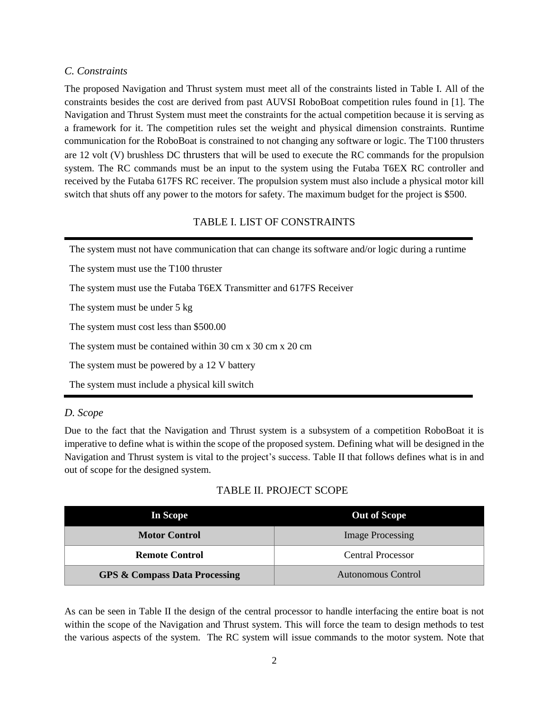# <span id="page-5-0"></span>*C. Constraints*

The proposed Navigation and Thrust system must meet all of the constraints listed in Table I. All of the constraints besides the cost are derived from past AUVSI RoboBoat competition rules found in [1]. The Navigation and Thrust System must meet the constraints for the actual competition because it is serving as a framework for it. The competition rules set the weight and physical dimension constraints. Runtime communication for the RoboBoat is constrained to not changing any software or logic. The T100 thrusters are 12 volt (V) brushless DC thrusters that will be used to execute the RC commands for the propulsion system. The RC commands must be an input to the system using the Futaba T6EX RC controller and received by the Futaba 617FS RC receiver. The propulsion system must also include a physical motor kill switch that shuts off any power to the motors for safety. The maximum budget for the project is \$500.

# TABLE I. LIST OF CONSTRAINTS

The system must not have communication that can change its software and/or logic during a runtime

The system must use the T100 thruster

The system must use the Futaba T6EX Transmitter and 617FS Receiver

The system must be under 5 kg

The system must cost less than \$500.00

The system must be contained within 30 cm x 30 cm x 20 cm

The system must be powered by a 12 V battery

The system must include a physical kill switch

## <span id="page-5-1"></span>*D. Scope*

Due to the fact that the Navigation and Thrust system is a subsystem of a competition RoboBoat it is imperative to define what is within the scope of the proposed system. Defining what will be designed in the Navigation and Thrust system is vital to the project's success. Table II that follows defines what is in and out of scope for the designed system.

# TABLE II. PROJECT SCOPE

| In Scope                                 | <b>Out of Scope</b>     |
|------------------------------------------|-------------------------|
| <b>Motor Control</b>                     | <b>Image Processing</b> |
| <b>Remote Control</b>                    | Central Processor       |
| <b>GPS &amp; Compass Data Processing</b> | Autonomous Control      |

As can be seen in Table II the design of the central processor to handle interfacing the entire boat is not within the scope of the Navigation and Thrust system. This will force the team to design methods to test the various aspects of the system. The RC system will issue commands to the motor system. Note that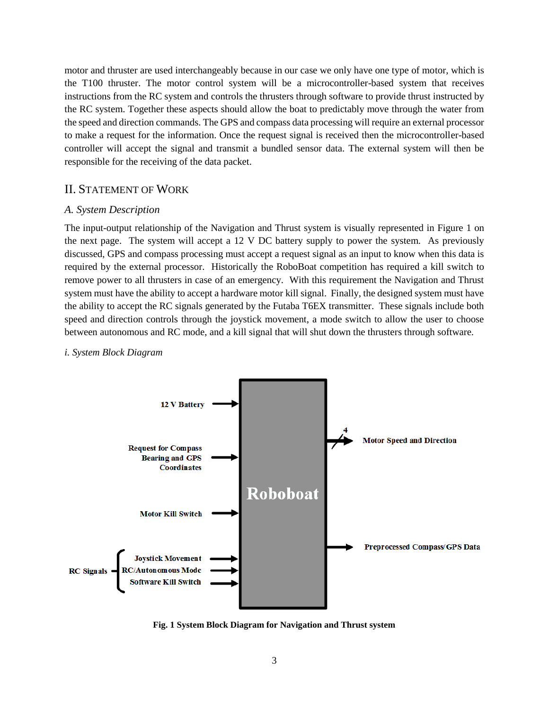motor and thruster are used interchangeably because in our case we only have one type of motor, which is the T100 thruster. The motor control system will be a microcontroller-based system that receives instructions from the RC system and controls the thrusters through software to provide thrust instructed by the RC system. Together these aspects should allow the boat to predictably move through the water from the speed and direction commands. The GPS and compass data processing will require an external processor to make a request for the information. Once the request signal is received then the microcontroller-based controller will accept the signal and transmit a bundled sensor data. The external system will then be responsible for the receiving of the data packet.

#### <span id="page-6-0"></span>II. STATEMENT OF WORK

#### <span id="page-6-1"></span>*A. System Description*

The input-output relationship of the Navigation and Thrust system is visually represented in Figure 1 on the next page. The system will accept a 12 V DC battery supply to power the system. As previously discussed, GPS and compass processing must accept a request signal as an input to know when this data is required by the external processor. Historically the RoboBoat competition has required a kill switch to remove power to all thrusters in case of an emergency. With this requirement the Navigation and Thrust system must have the ability to accept a hardware motor kill signal. Finally, the designed system must have the ability to accept the RC signals generated by the Futaba T6EX transmitter. These signals include both speed and direction controls through the joystick movement, a mode switch to allow the user to choose between autonomous and RC mode, and a kill signal that will shut down the thrusters through software.



#### <span id="page-6-2"></span>*i. System Block Diagram*

**Fig. 1 System Block Diagram for Navigation and Thrust system**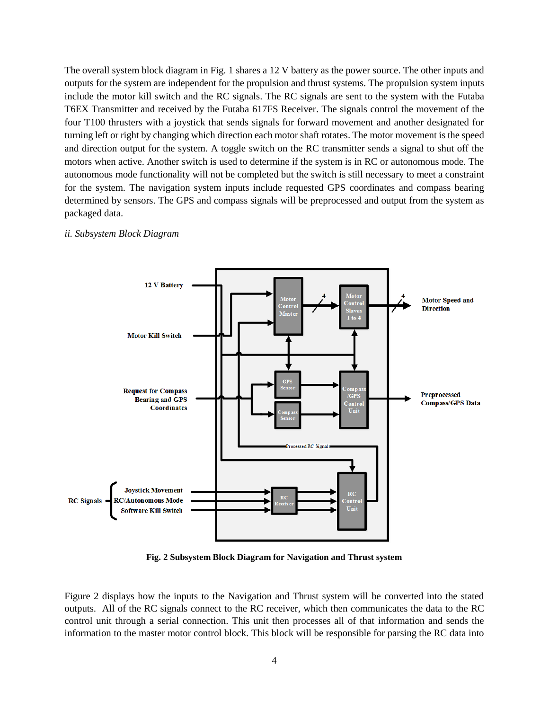The overall system block diagram in Fig. 1 shares a 12 V battery as the power source. The other inputs and outputs for the system are independent for the propulsion and thrust systems. The propulsion system inputs include the motor kill switch and the RC signals. The RC signals are sent to the system with the Futaba T6EX Transmitter and received by the Futaba 617FS Receiver. The signals control the movement of the four T100 thrusters with a joystick that sends signals for forward movement and another designated for turning left or right by changing which direction each motor shaft rotates. The motor movement is the speed and direction output for the system. A toggle switch on the RC transmitter sends a signal to shut off the motors when active. Another switch is used to determine if the system is in RC or autonomous mode. The autonomous mode functionality will not be completed but the switch is still necessary to meet a constraint for the system. The navigation system inputs include requested GPS coordinates and compass bearing determined by sensors. The GPS and compass signals will be preprocessed and output from the system as packaged data.



#### *ii. Subsystem Block Diagram*

**Fig. 2 Subsystem Block Diagram for Navigation and Thrust system**

Figure 2 displays how the inputs to the Navigation and Thrust system will be converted into the stated outputs. All of the RC signals connect to the RC receiver, which then communicates the data to the RC control unit through a serial connection. This unit then processes all of that information and sends the information to the master motor control block. This block will be responsible for parsing the RC data into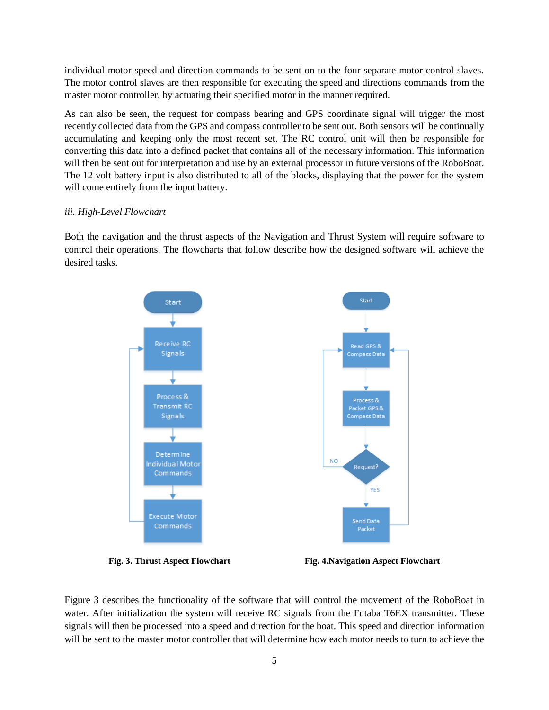individual motor speed and direction commands to be sent on to the four separate motor control slaves. The motor control slaves are then responsible for executing the speed and directions commands from the master motor controller, by actuating their specified motor in the manner required.

As can also be seen, the request for compass bearing and GPS coordinate signal will trigger the most recently collected data from the GPS and compass controller to be sent out. Both sensors will be continually accumulating and keeping only the most recent set. The RC control unit will then be responsible for converting this data into a defined packet that contains all of the necessary information. This information will then be sent out for interpretation and use by an external processor in future versions of the RoboBoat. The 12 volt battery input is also distributed to all of the blocks, displaying that the power for the system will come entirely from the input battery.

### <span id="page-8-0"></span>*iii. High-Level Flowchart*

Both the navigation and the thrust aspects of the Navigation and Thrust System will require software to control their operations. The flowcharts that follow describe how the designed software will achieve the desired tasks.



**Fig. 3. Thrust Aspect Flowchart Fig. 4.Navigation Aspect Flowchart**

Figure 3 describes the functionality of the software that will control the movement of the RoboBoat in water. After initialization the system will receive RC signals from the Futaba T6EX transmitter. These signals will then be processed into a speed and direction for the boat. This speed and direction information will be sent to the master motor controller that will determine how each motor needs to turn to achieve the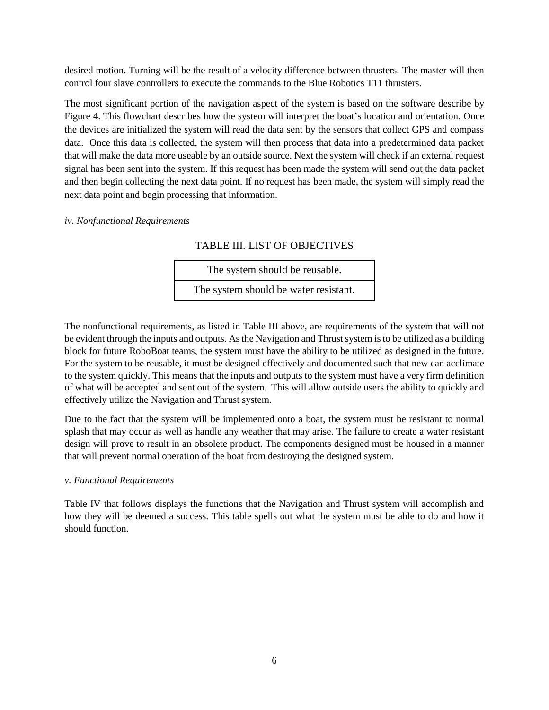desired motion. Turning will be the result of a velocity difference between thrusters. The master will then control four slave controllers to execute the commands to the Blue Robotics T11 thrusters.

The most significant portion of the navigation aspect of the system is based on the software describe by Figure 4. This flowchart describes how the system will interpret the boat's location and orientation. Once the devices are initialized the system will read the data sent by the sensors that collect GPS and compass data. Once this data is collected, the system will then process that data into a predetermined data packet that will make the data more useable by an outside source. Next the system will check if an external request signal has been sent into the system. If this request has been made the system will send out the data packet and then begin collecting the next data point. If no request has been made, the system will simply read the next data point and begin processing that information.

#### <span id="page-9-0"></span>*iv. Nonfunctional Requirements*

# TABLE III. LIST OF OBJECTIVES

| The system should be reusable.        |  |  |
|---------------------------------------|--|--|
| The system should be water resistant. |  |  |

The nonfunctional requirements, as listed in Table III above, are requirements of the system that will not be evident through the inputs and outputs. As the Navigation and Thrust system is to be utilized as a building block for future RoboBoat teams, the system must have the ability to be utilized as designed in the future. For the system to be reusable, it must be designed effectively and documented such that new can acclimate to the system quickly. This means that the inputs and outputs to the system must have a very firm definition of what will be accepted and sent out of the system. This will allow outside users the ability to quickly and effectively utilize the Navigation and Thrust system.

Due to the fact that the system will be implemented onto a boat, the system must be resistant to normal splash that may occur as well as handle any weather that may arise. The failure to create a water resistant design will prove to result in an obsolete product. The components designed must be housed in a manner that will prevent normal operation of the boat from destroying the designed system.

#### <span id="page-9-1"></span>*v. Functional Requirements*

Table IV that follows displays the functions that the Navigation and Thrust system will accomplish and how they will be deemed a success. This table spells out what the system must be able to do and how it should function.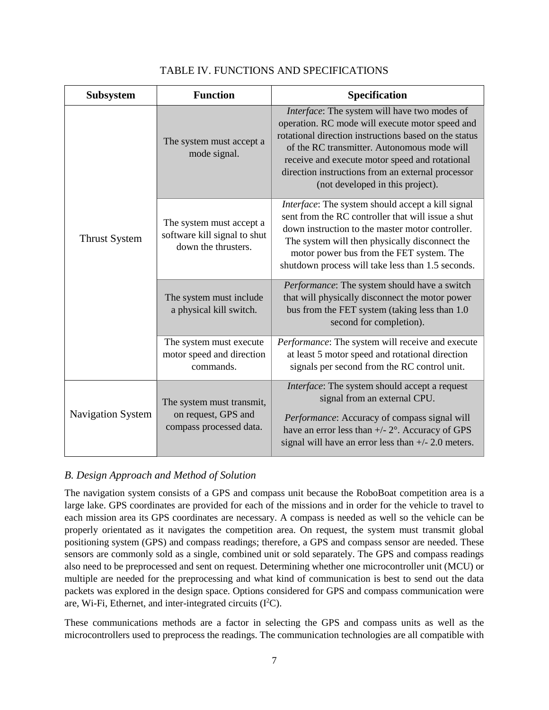| Subsystem                | <b>Function</b>                                                                 | Specification                                                                                                                                                                                                                                                                                                                                      |  |
|--------------------------|---------------------------------------------------------------------------------|----------------------------------------------------------------------------------------------------------------------------------------------------------------------------------------------------------------------------------------------------------------------------------------------------------------------------------------------------|--|
| <b>Thrust System</b>     | The system must accept a<br>mode signal.                                        | Interface: The system will have two modes of<br>operation. RC mode will execute motor speed and<br>rotational direction instructions based on the status<br>of the RC transmitter. Autonomous mode will<br>receive and execute motor speed and rotational<br>direction instructions from an external processor<br>(not developed in this project). |  |
|                          | The system must accept a<br>software kill signal to shut<br>down the thrusters. | Interface: The system should accept a kill signal<br>sent from the RC controller that will issue a shut<br>down instruction to the master motor controller.<br>The system will then physically disconnect the<br>motor power bus from the FET system. The<br>shutdown process will take less than 1.5 seconds.                                     |  |
|                          | The system must include<br>a physical kill switch.                              | Performance: The system should have a switch<br>that will physically disconnect the motor power<br>bus from the FET system (taking less than 1.0<br>second for completion).                                                                                                                                                                        |  |
|                          | The system must execute<br>motor speed and direction<br>commands.               | Performance: The system will receive and execute<br>at least 5 motor speed and rotational direction<br>signals per second from the RC control unit.                                                                                                                                                                                                |  |
| <b>Navigation System</b> | The system must transmit,<br>on request, GPS and<br>compass processed data.     | Interface: The system should accept a request<br>signal from an external CPU.<br>Performance: Accuracy of compass signal will<br>have an error less than $+/- 2^{\circ}$ . Accuracy of GPS<br>signal will have an error less than $+/- 2.0$ meters.                                                                                                |  |

# TABLE IV. FUNCTIONS AND SPECIFICATIONS

## <span id="page-10-0"></span>*B. Design Approach and Method of Solution*

The navigation system consists of a GPS and compass unit because the RoboBoat competition area is a large lake. GPS coordinates are provided for each of the missions and in order for the vehicle to travel to each mission area its GPS coordinates are necessary. A compass is needed as well so the vehicle can be properly orientated as it navigates the competition area. On request, the system must transmit global positioning system (GPS) and compass readings; therefore, a GPS and compass sensor are needed. These sensors are commonly sold as a single, combined unit or sold separately. The GPS and compass readings also need to be preprocessed and sent on request. Determining whether one microcontroller unit (MCU) or multiple are needed for the preprocessing and what kind of communication is best to send out the data packets was explored in the design space. Options considered for GPS and compass communication were are, Wi-Fi, Ethernet, and inter-integrated circuits (I <sup>2</sup>C).

These communications methods are a factor in selecting the GPS and compass units as well as the microcontrollers used to preprocess the readings. The communication technologies are all compatible with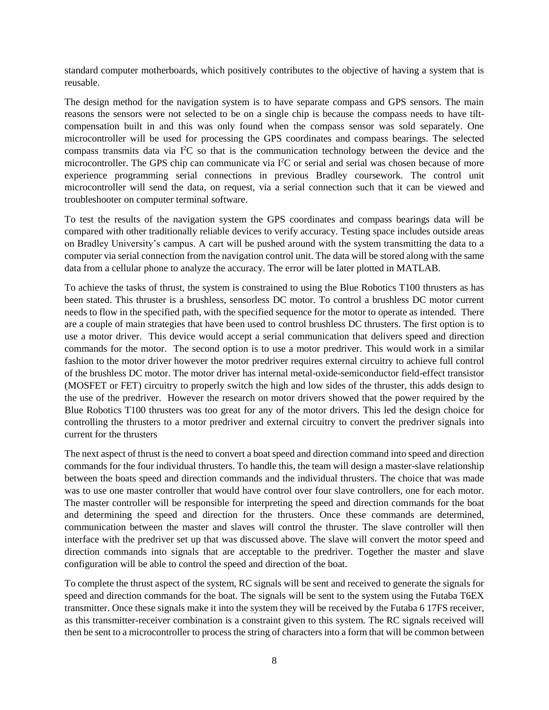standard computer motherboards, which positively contributes to the objective of having a system that is reusable.

The design method for the navigation system is to have separate compass and GPS sensors. The main reasons the sensors were not selected to be on a single chip is because the compass needs to have tiltcompensation built in and this was only found when the compass sensor was sold separately. One microcontroller will be used for processing the GPS coordinates and compass bearings. The selected compass transmits data via I<sup>2</sup>C so that is the communication technology between the device and the microcontroller. The GPS chip can communicate via I<sup>2</sup>C or serial and serial was chosen because of more experience programming serial connections in previous Bradley coursework. The control unit microcontroller will send the data, on request, via a serial connection such that it can be viewed and troubleshooter on computer terminal software.

To test the results of the navigation system the GPS coordinates and compass bearings data will be compared with other traditionally reliable devices to verify accuracy. Testing space includes outside areas on Bradley University's campus. A cart will be pushed around with the system transmitting the data to a computer via serial connection from the navigation control unit. The data will be stored along with the same data from a cellular phone to analyze the accuracy. The error will be later plotted in MATLAB.

To achieve the tasks of thrust, the system is constrained to using the Blue Robotics T100 thrusters as has been stated. This thruster is a brushless, sensorless DC motor. To control a brushless DC motor current needs to flow in the specified path, with the specified sequence for the motor to operate as intended. There are a couple of main strategies that have been used to control brushless DC thrusters. The first option is to use a motor driver. This device would accept a serial communication that delivers speed and direction commands for the motor. The second option is to use a motor predriver. This would work in a similar fashion to the motor driver however the motor predriver requires external circuitry to achieve full control of the brushless DC motor. The motor driver has internal metal-oxide-semiconductor field-effect transistor (MOSFET or FET) circuitry to properly switch the high and low sides of the thruster, this adds design to the use of the predriver. However the research on motor drivers showed that the power required by the Blue Robotics T100 thrusters was too great for any of the motor drivers. This led the design choice for controlling the thrusters to a motor predriver and external circuitry to convert the predriver signals into current for the thrusters

The next aspect of thrust is the need to convert a boat speed and direction command into speed and direction commands for the four individual thrusters. To handle this, the team will design a master-slave relationship between the boats speed and direction commands and the individual thrusters. The choice that was made was to use one master controller that would have control over four slave controllers, one for each motor. The master controller will be responsible for interpreting the speed and direction commands for the boat and determining the speed and direction for the thrusters. Once these commands are determined, communication between the master and slaves will control the thruster. The slave controller will then interface with the predriver set up that was discussed above. The slave will convert the motor speed and direction commands into signals that are acceptable to the predriver. Together the master and slave configuration will be able to control the speed and direction of the boat.

To complete the thrust aspect of the system, RC signals will be sent and received to generate the signals for speed and direction commands for the boat. The signals will be sent to the system using the Futaba T6EX transmitter. Once these signals make it into the system they will be received by the Futaba 6 17FS receiver, as this transmitter-receiver combination is a constraint given to this system. The RC signals received will then be sent to a microcontroller to process the string of characters into a form that will be common between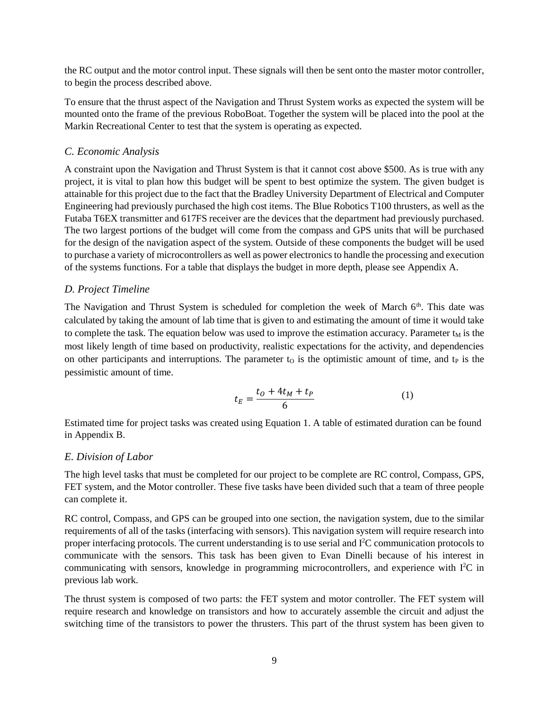the RC output and the motor control input. These signals will then be sent onto the master motor controller, to begin the process described above.

To ensure that the thrust aspect of the Navigation and Thrust System works as expected the system will be mounted onto the frame of the previous RoboBoat. Together the system will be placed into the pool at the Markin Recreational Center to test that the system is operating as expected.

# <span id="page-12-0"></span>*C. Economic Analysis*

A constraint upon the Navigation and Thrust System is that it cannot cost above \$500. As is true with any project, it is vital to plan how this budget will be spent to best optimize the system. The given budget is attainable for this project due to the fact that the Bradley University Department of Electrical and Computer Engineering had previously purchased the high cost items. The Blue Robotics T100 thrusters, as well as the Futaba T6EX transmitter and 617FS receiver are the devices that the department had previously purchased. The two largest portions of the budget will come from the compass and GPS units that will be purchased for the design of the navigation aspect of the system. Outside of these components the budget will be used to purchase a variety of microcontrollers as well as power electronics to handle the processing and execution of the systems functions. For a table that displays the budget in more depth, please see Appendix A.

# <span id="page-12-1"></span>*D. Project Timeline*

The Navigation and Thrust System is scheduled for completion the week of March 6<sup>th</sup>. This date was calculated by taking the amount of lab time that is given to and estimating the amount of time it would take to complete the task. The equation below was used to improve the estimation accuracy. Parameter  $t<sub>M</sub>$  is the most likely length of time based on productivity, realistic expectations for the activity, and dependencies on other participants and interruptions. The parameter  $t_0$  is the optimistic amount of time, and  $t_P$  is the pessimistic amount of time.

$$
t_E = \frac{t_0 + 4t_M + t_P}{6} \tag{1}
$$

Estimated time for project tasks was created using Equation 1. A table of estimated duration can be found in Appendix B.

## <span id="page-12-2"></span>*E. Division of Labor*

The high level tasks that must be completed for our project to be complete are RC control, Compass, GPS, FET system, and the Motor controller. These five tasks have been divided such that a team of three people can complete it.

RC control, Compass, and GPS can be grouped into one section, the navigation system, due to the similar requirements of all of the tasks (interfacing with sensors). This navigation system will require research into proper interfacing protocols. The current understanding is to use serial and I<sup>2</sup>C communication protocols to communicate with the sensors. This task has been given to Evan Dinelli because of his interest in communicating with sensors, knowledge in programming microcontrollers, and experience with I<sup>2</sup>C in previous lab work.

The thrust system is composed of two parts: the FET system and motor controller. The FET system will require research and knowledge on transistors and how to accurately assemble the circuit and adjust the switching time of the transistors to power the thrusters. This part of the thrust system has been given to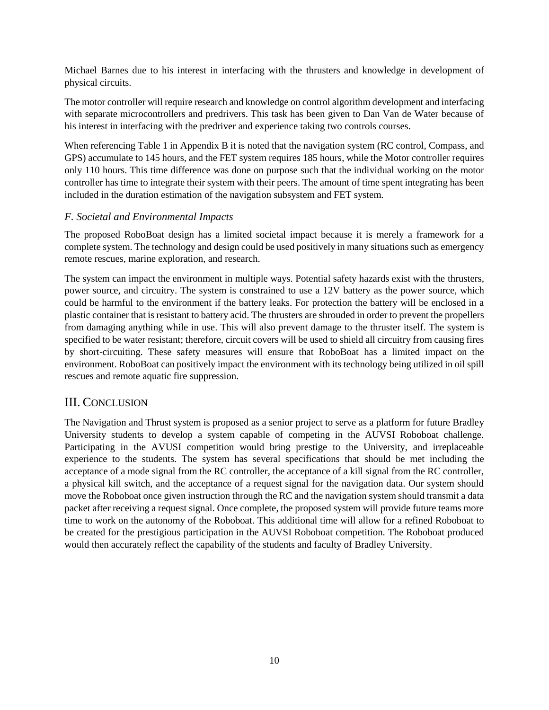Michael Barnes due to his interest in interfacing with the thrusters and knowledge in development of physical circuits.

The motor controller will require research and knowledge on control algorithm development and interfacing with separate microcontrollers and predrivers. This task has been given to Dan Van de Water because of his interest in interfacing with the predriver and experience taking two controls courses.

When referencing Table 1 in Appendix B it is noted that the navigation system (RC control, Compass, and GPS) accumulate to 145 hours, and the FET system requires 185 hours, while the Motor controller requires only 110 hours. This time difference was done on purpose such that the individual working on the motor controller has time to integrate their system with their peers. The amount of time spent integrating has been included in the duration estimation of the navigation subsystem and FET system.

# <span id="page-13-0"></span>*F. Societal and Environmental Impacts*

The proposed RoboBoat design has a limited societal impact because it is merely a framework for a complete system. The technology and design could be used positively in many situations such as emergency remote rescues, marine exploration, and research.

The system can impact the environment in multiple ways. Potential safety hazards exist with the thrusters, power source, and circuitry. The system is constrained to use a 12V battery as the power source, which could be harmful to the environment if the battery leaks. For protection the battery will be enclosed in a plastic container that is resistant to battery acid. The thrusters are shrouded in order to prevent the propellers from damaging anything while in use. This will also prevent damage to the thruster itself. The system is specified to be water resistant; therefore, circuit covers will be used to shield all circuitry from causing fires by short-circuiting. These safety measures will ensure that RoboBoat has a limited impact on the environment. RoboBoat can positively impact the environment with its technology being utilized in oil spill rescues and remote aquatic fire suppression.

# <span id="page-13-1"></span>III. CONCLUSION

The Navigation and Thrust system is proposed as a senior project to serve as a platform for future Bradley University students to develop a system capable of competing in the AUVSI Roboboat challenge. Participating in the AVUSI competition would bring prestige to the University, and irreplaceable experience to the students. The system has several specifications that should be met including the acceptance of a mode signal from the RC controller, the acceptance of a kill signal from the RC controller, a physical kill switch, and the acceptance of a request signal for the navigation data. Our system should move the Roboboat once given instruction through the RC and the navigation system should transmit a data packet after receiving a request signal. Once complete, the proposed system will provide future teams more time to work on the autonomy of the Roboboat. This additional time will allow for a refined Roboboat to be created for the prestigious participation in the AUVSI Roboboat competition. The Roboboat produced would then accurately reflect the capability of the students and faculty of Bradley University.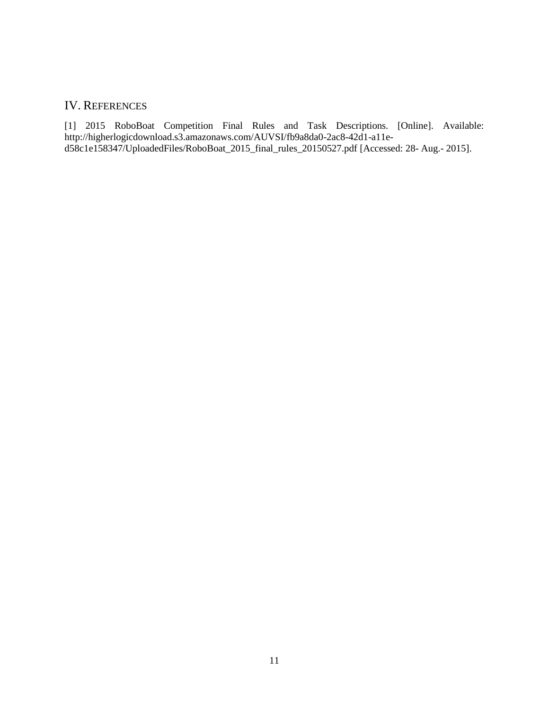# <span id="page-14-0"></span>IV. REFERENCES

[1] 2015 RoboBoat Competition Final Rules and Task Descriptions. [Online]. Available: http://higherlogicdownload.s3.amazonaws.com/AUVSI/fb9a8da0-2ac8-42d1-a11ed58c1e158347/UploadedFiles/RoboBoat\_2015\_final\_rules\_20150527.pdf [Accessed: 28- Aug.- 2015].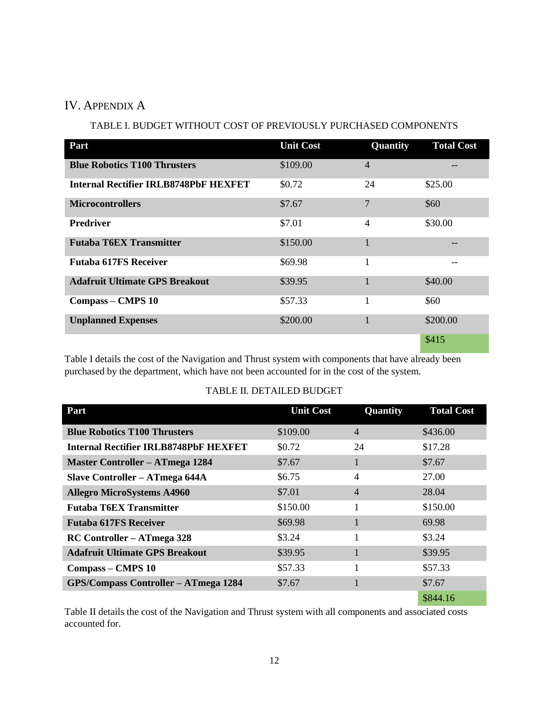# <span id="page-15-0"></span>IV. APPENDIX A

# TABLE I. BUDGET WITHOUT COST OF PREVIOUSLY PURCHASED COMPONENTS

| Part                                         | <b>Unit Cost</b> | Quantity       | <b>Total Cost</b> |
|----------------------------------------------|------------------|----------------|-------------------|
| <b>Blue Robotics T100 Thrusters</b>          | \$109.00         | $\overline{4}$ |                   |
| <b>Internal Rectifier IRLB8748PbF HEXFET</b> | \$0.72           | 24             | \$25.00           |
| <b>Microcontrollers</b>                      | \$7.67           | 7              | \$60              |
| <b>Predriver</b>                             | \$7.01           | 4              | \$30.00           |
| <b>Futaba T6EX Transmitter</b>               | \$150.00         |                |                   |
| <b>Futaba 617FS Receiver</b>                 | \$69.98          |                |                   |
| <b>Adafruit Ultimate GPS Breakout</b>        | \$39.95          |                | \$40.00           |
| Compass – CMPS 10                            | \$57.33          | 1              | \$60              |
| <b>Unplanned Expenses</b>                    | \$200.00         |                | \$200.00          |
|                                              |                  |                | \$415             |

Table I details the cost of the Navigation and Thrust system with components that have already been purchased by the department, which have not been accounted for in the cost of the system.

# TABLE II. DETAILED BUDGET

| Part                                        | <b>Unit Cost</b> | Quantity       | <b>Total Cost</b> |
|---------------------------------------------|------------------|----------------|-------------------|
| <b>Blue Robotics T100 Thrusters</b>         | \$109.00         | $\overline{4}$ | \$436.00          |
| Internal Rectifier IRLB8748PbF HEXFET       | \$0.72           | 24             | \$17.28           |
| <b>Master Controller – ATmega 1284</b>      | \$7.67           |                | \$7.67            |
| Slave Controller – ATmega 644A              | \$6.75           | 4              | 27.00             |
| <b>Allegro MicroSystems A4960</b>           | \$7.01           | 4              | 28.04             |
| <b>Futaba T6EX Transmitter</b>              | \$150.00         |                | \$150.00          |
| <b>Futaba 617FS Receiver</b>                | \$69.98          |                | 69.98             |
| RC Controller – ATmega 328                  | \$3.24           |                | \$3.24            |
| <b>Adafruit Ultimate GPS Breakout</b>       | \$39.95          |                | \$39.95           |
| Compass – CMPS 10                           | \$57.33          |                | \$57.33           |
| <b>GPS/Compass Controller - ATmega 1284</b> | \$7.67           |                | \$7.67            |
|                                             |                  |                | \$844.16          |

Table II details the cost of the Navigation and Thrust system with all components and associated costs accounted for.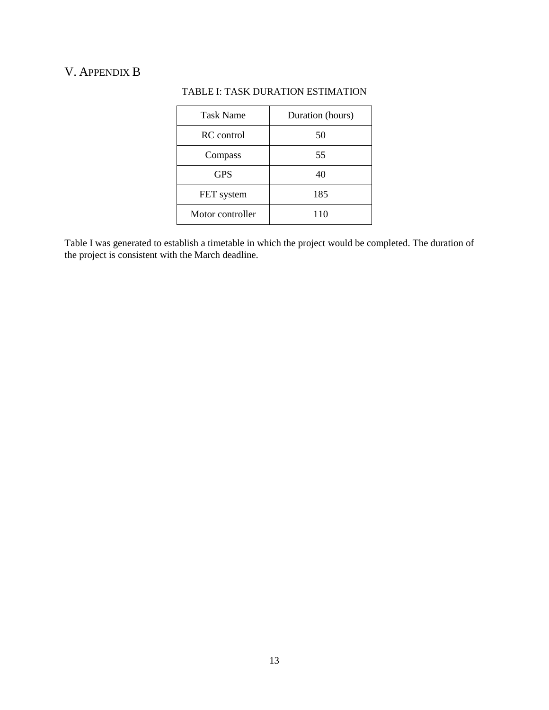# <span id="page-16-0"></span>V. APPENDIX B

| <b>Task Name</b> | Duration (hours) |
|------------------|------------------|
| RC control       | 50               |
| Compass          | 55               |
| <b>GPS</b>       | 40               |
| FET system       | 185              |
| Motor controller | 110              |

# TABLE I: TASK DURATION ESTIMATION

Table I was generated to establish a timetable in which the project would be completed. The duration of the project is consistent with the March deadline.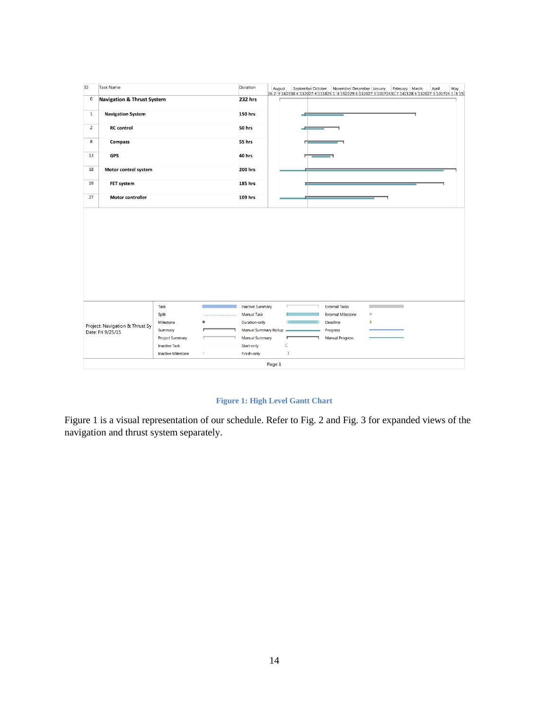

**Figure 1: High Level Gantt Chart**

Figure 1 is a visual representation of our schedule. Refer to Fig. 2 and Fig. 3 for expanded views of the navigation and thrust system separately.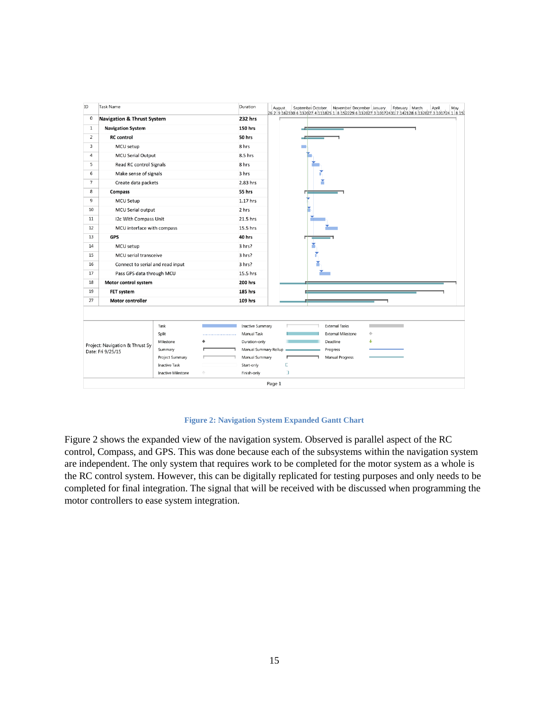

#### **Figure 2: Navigation System Expanded Gantt Chart**

Figure 2 shows the expanded view of the navigation system. Observed is parallel aspect of the RC control, Compass, and GPS. This was done because each of the subsystems within the navigation system are independent. The only system that requires work to be completed for the motor system as a whole is the RC control system. However, this can be digitally replicated for testing purposes and only needs to be completed for final integration. The signal that will be received with be discussed when programming the motor controllers to ease system integration.